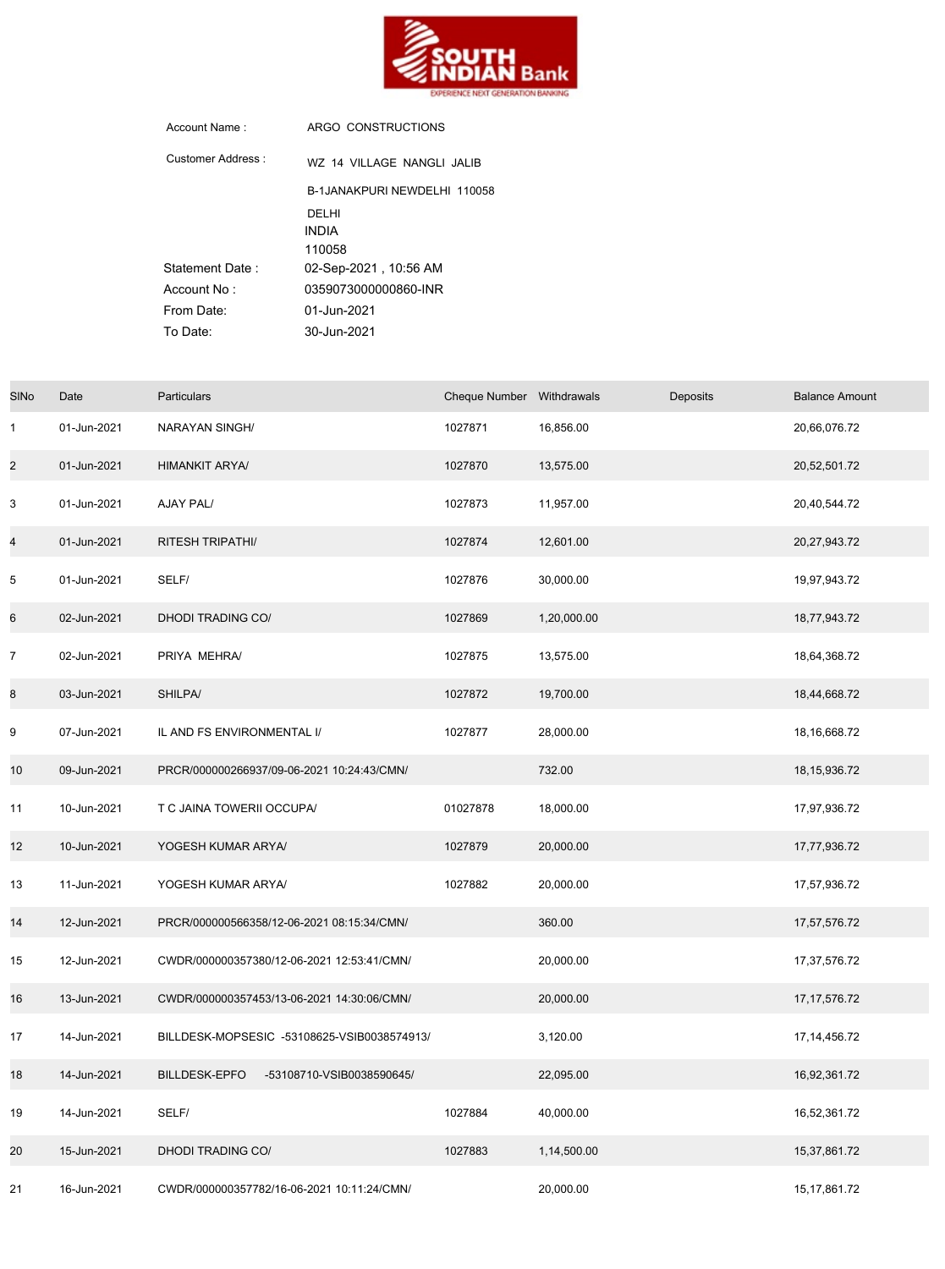

| Account Name:      | ARGO CONSTRUCTIONS           |  |  |  |  |  |
|--------------------|------------------------------|--|--|--|--|--|
| Customer Address · | WZ 14 VII LAGE NANGLI JALIB  |  |  |  |  |  |
|                    | B-1JANAKPURI NEWDELHI 110058 |  |  |  |  |  |
|                    | DEI HI                       |  |  |  |  |  |
|                    | INDIA                        |  |  |  |  |  |
|                    | 110058                       |  |  |  |  |  |
| Statement Date:    | 02-Sep-2021,10:56 AM         |  |  |  |  |  |
| Account No:        | 0359073000000860-INR         |  |  |  |  |  |
| From Date:         | 01-Jun-2021                  |  |  |  |  |  |
| To Date:           | 30-Jun-2021                  |  |  |  |  |  |

| <b>SINo</b>             | Date        | Particulars                                 | Cheque Number Withdrawals |             | Deposits | <b>Balance Amount</b> |
|-------------------------|-------------|---------------------------------------------|---------------------------|-------------|----------|-----------------------|
| $\mathbf{1}$            | 01-Jun-2021 | <b>NARAYAN SINGH/</b>                       | 1027871                   | 16,856.00   |          | 20,66,076.72          |
| $\overline{2}$          | 01-Jun-2021 | <b>HIMANKIT ARYA/</b>                       | 1027870                   | 13,575.00   |          | 20,52,501.72          |
| 3                       | 01-Jun-2021 | <b>AJAY PAL/</b>                            | 1027873                   | 11,957.00   |          | 20,40,544.72          |
| $\overline{\mathbf{4}}$ | 01-Jun-2021 | <b>RITESH TRIPATHI/</b>                     | 1027874                   | 12,601.00   |          | 20,27,943.72          |
| 5                       | 01-Jun-2021 | SELF/                                       | 1027876                   | 30,000.00   |          | 19,97,943.72          |
| 6                       | 02-Jun-2021 | DHODI TRADING CO/                           | 1027869                   | 1,20,000.00 |          | 18,77,943.72          |
| $\overline{7}$          | 02-Jun-2021 | PRIYA MEHRA/                                | 1027875                   | 13,575.00   |          | 18,64,368.72          |
| 8                       | 03-Jun-2021 | SHILPA/                                     | 1027872                   | 19,700.00   |          | 18,44,668.72          |
| 9                       | 07-Jun-2021 | IL AND FS ENVIRONMENTAL I/                  | 1027877                   | 28,000.00   |          | 18,16,668.72          |
| 10                      | 09-Jun-2021 | PRCR/000000266937/09-06-2021 10:24:43/CMN/  |                           | 732.00      |          | 18, 15, 936. 72       |
| 11                      | 10-Jun-2021 | T C JAINA TOWERII OCCUPA/                   | 01027878                  | 18,000.00   |          | 17,97,936.72          |
| 12                      | 10-Jun-2021 | YOGESH KUMAR ARYA/                          | 1027879                   | 20,000.00   |          | 17,77,936.72          |
| 13                      | 11-Jun-2021 | YOGESH KUMAR ARYA/                          | 1027882                   | 20,000.00   |          | 17,57,936.72          |
| 14                      | 12-Jun-2021 | PRCR/000000566358/12-06-2021 08:15:34/CMN/  |                           | 360.00      |          | 17,57,576.72          |
| 15                      | 12-Jun-2021 | CWDR/000000357380/12-06-2021 12:53:41/CMN/  |                           | 20,000.00   |          | 17,37,576.72          |
| 16                      | 13-Jun-2021 | CWDR/000000357453/13-06-2021 14:30:06/CMN/  |                           | 20,000.00   |          | 17, 17, 576. 72       |
| 17                      | 14-Jun-2021 | BILLDESK-MOPSESIC -53108625-VSIB0038574913/ |                           | 3,120.00    |          | 17, 14, 456. 72       |
| 18                      | 14-Jun-2021 | BILLDESK-EPFO<br>-53108710-VSIB0038590645/  |                           | 22,095.00   |          | 16,92,361.72          |
| 19                      | 14-Jun-2021 | SELF/                                       | 1027884                   | 40,000.00   |          | 16,52,361.72          |
| 20                      | 15-Jun-2021 | <b>DHODI TRADING CO/</b>                    | 1027883                   | 1,14,500.00 |          | 15,37,861.72          |
| 21                      | 16-Jun-2021 | CWDR/000000357782/16-06-2021 10:11:24/CMN/  |                           | 20,000.00   |          | 15, 17, 861. 72       |